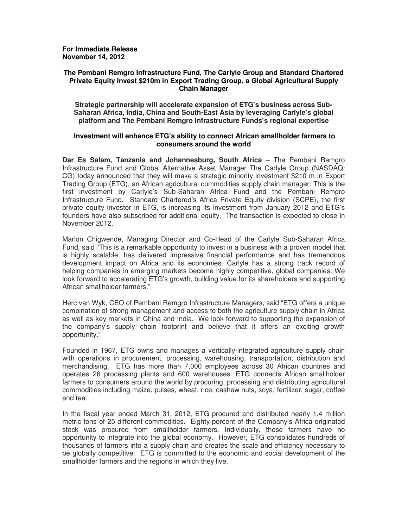**For Immediate Release November 14, 2012** 

### **The Pembani Remgro Infrastructure Fund, The Carlyle Group and Standard Chartered Private Equity Invest \$210m in Export Trading Group, a Global Agricultural Supply Chain Manager**

**Strategic partnership will accelerate expansion of ETG's business across Sub-Saharan Africa, India, China and South-East Asia by leveraging Carlyle's global platform and The Pembani Remgro Infrastructure Funds's regional expertise** 

# **Investment will enhance ETG's ability to connect African smallholder farmers to consumers around the world**

**Dar Es Salam, Tanzania and Johannesburg, South Africa** – The Pembani Remgro Infrastructure Fund and Global Alternative Asset Manager The Carlyle Group (NASDAQ: CG) today announced that they will make a strategic minority investment \$210 m in Export Trading Group (ETG), an African agricultural commodities supply chain manager. This is the first investment by Carlyle's Sub-Saharan Africa Fund and the Pembani Remgro Infrastructure Fund. Standard Chartered's Africa Private Equity division (SCPE), the first private equity investor in ETG, is increasing its investment from January 2012 and ETG's founders have also subscribed for additional equity. The transaction is expected to close in November 2012.

Marlon Chigwende, Managing Director and Co-Head of the Carlyle Sub-Saharan Africa Fund, said "This is a remarkable opportunity to invest in a business with a proven model that is highly scalable, has delivered impressive financial performance and has tremendous development impact on Africa and its economies. Carlyle has a strong track record of helping companies in emerging markets become highly competitive, global companies. We look forward to accelerating ETG's growth, building value for its shareholders and supporting African smallholder farmers."

Herc van Wyk, CEO of Pembani Remgro Infrastructure Managers, said "ETG offers a unique combination of strong management and access to both the agriculture supply chain in Africa as well as key markets in China and India. We look forward to supporting the expansion of the company's supply chain footprint and believe that it offers an exciting growth opportunity."

Founded in 1967, ETG owns and manages a vertically-integrated agriculture supply chain with operations in procurement, processing, warehousing, transportation, distribution and merchandising. ETG has more than 7,000 employees across 30 African countries and operates 26 processing plants and 600 warehouses. ETG connects African smallholder farmers to consumers around the world by procuring, processing and distributing agricultural commodities including maize, pulses, wheat, rice, cashew nuts, soya, fertilizer, sugar, coffee and tea.

In the fiscal year ended March 31, 2012, ETG procured and distributed nearly 1.4 million metric tons of 25 different commodities. Eighty-percent of the Company's Africa-originated stock was procured from smallholder farmers. Individually, these farmers have no opportunity to integrate into the global economy. However, ETG consolidates hundreds of thousands of farmers into a supply chain and creates the scale and efficiency necessary to be globally competitive. ETG is committed to the economic and social development of the smallholder farmers and the regions in which they live.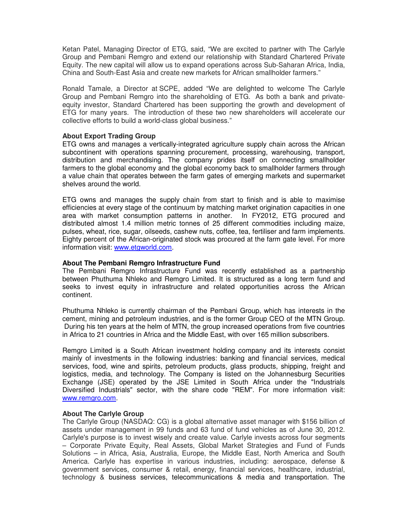Ketan Patel, Managing Director of ETG, said, "We are excited to partner with The Carlyle Group and Pembani Remgro and extend our relationship with Standard Chartered Private Equity. The new capital will allow us to expand operations across Sub-Saharan Africa, India, China and South-East Asia and create new markets for African smallholder farmers."

Ronald Tamale, a Director at SCPE, added "We are delighted to welcome The Carlyle Group and Pembani Remgro into the shareholding of ETG. As both a bank and privateequity investor, Standard Chartered has been supporting the growth and development of ETG for many years. The introduction of these two new shareholders will accelerate our collective efforts to build a world-class global business."

# **About Export Trading Group**

ETG owns and manages a vertically-integrated agriculture supply chain across the African subcontinent with operations spanning procurement, processing, warehousing, transport, distribution and merchandising. The company prides itself on connecting smallholder farmers to the global economy and the global economy back to smallholder farmers through a value chain that operates between the farm gates of emerging markets and supermarket shelves around the world.

ETG owns and manages the supply chain from start to finish and is able to maximise efficiencies at every stage of the continuum by matching market origination capacities in one area with market consumption patterns in another. In FY2012, ETG procured and distributed almost 1.4 million metric tonnes of 25 different commodities including maize, pulses, wheat, rice, sugar, oilseeds, cashew nuts, coffee, tea, fertiliser and farm implements. Eighty percent of the African-originated stock was procured at the farm gate level. For more information visit: www.etgworld.com.

### **About The Pembani Remgro Infrastructure Fund**

The Pembani Remgro Infrastructure Fund was recently established as a partnership between Phuthuma Nhleko and Remgro Limited. It is structured as a long term fund and seeks to invest equity in infrastructure and related opportunities across the African continent.

Phuthuma Nhleko is currently chairman of the Pembani Group, which has interests in the cement, mining and petroleum industries, and is the former Group CEO of the MTN Group. During his ten years at the helm of MTN, the group increased operations from five countries in Africa to 21 countries in Africa and the Middle East, with over 165 million subscribers.

Remgro Limited is a South African investment holding company and its interests consist mainly of investments in the following industries: banking and financial services, medical services, food, wine and spirits, petroleum products, glass products, shipping, freight and logistics, media, and technology. The Company is listed on the Johannesburg Securities Exchange (JSE) operated by the JSE Limited in South Africa under the "Industrials Diversified Industrials" sector, with the share code "REM". For more information visit: www.remgro.com.

### **About The Carlyle Group**

The Carlyle Group (NASDAQ: CG) is a global alternative asset manager with \$156 billion of assets under management in 99 funds and 63 fund of fund vehicles as of June 30, 2012. Carlyle's purpose is to invest wisely and create value. Carlyle invests across four segments – Corporate Private Equity, Real Assets, Global Market Strategies and Fund of Funds Solutions – in Africa, Asia, Australia, Europe, the Middle East, North America and South America. Carlyle has expertise in various industries, including: aerospace, defense & government services, consumer & retail, energy, financial services, healthcare, industrial, technology & business services, telecommunications & media and transportation. The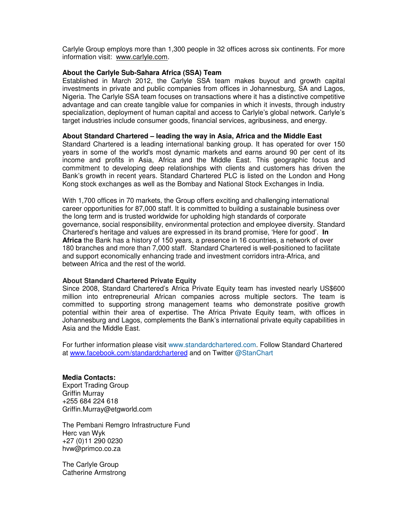Carlyle Group employs more than 1,300 people in 32 offices across six continents. For more information visit: www.carlyle.com.

# **About the Carlyle Sub-Sahara Africa (SSA) Team**

Established in March 2012, the Carlyle SSA team makes buyout and growth capital investments in private and public companies from offices in Johannesburg, SA and Lagos, Nigeria. The Carlyle SSA team focuses on transactions where it has a distinctive competitive advantage and can create tangible value for companies in which it invests, through industry specialization, deployment of human capital and access to Carlyle's global network. Carlyle's target industries include consumer goods, financial services, agribusiness, and energy.

### **About Standard Chartered – leading the way in Asia, Africa and the Middle East**

Standard Chartered is a leading international banking group. It has operated for over 150 years in some of the world's most dynamic markets and earns around 90 per cent of its income and profits in Asia, Africa and the Middle East. This geographic focus and commitment to developing deep relationships with clients and customers has driven the Bank's growth in recent years. Standard Chartered PLC is listed on the London and Hong Kong stock exchanges as well as the Bombay and National Stock Exchanges in India.

With 1,700 offices in 70 markets, the Group offers exciting and challenging international career opportunities for 87,000 staff. It is committed to building a sustainable business over the long term and is trusted worldwide for upholding high standards of corporate governance, social responsibility, environmental protection and employee diversity. Standard Chartered's heritage and values are expressed in its brand promise, 'Here for good'. **In Africa** the Bank has a history of 150 years, a presence in 16 countries, a network of over 180 branches and more than 7,000 staff. Standard Chartered is well-positioned to facilitate and support economically enhancing trade and investment corridors intra-Africa, and between Africa and the rest of the world.

### **About Standard Chartered Private Equity**

Since 2008, Standard Chartered's Africa Private Equity team has invested nearly US\$600 million into entrepreneurial African companies across multiple sectors. The team is committed to supporting strong management teams who demonstrate positive growth potential within their area of expertise. The Africa Private Equity team, with offices in Johannesburg and Lagos, complements the Bank's international private equity capabilities in Asia and the Middle East.

For further information please visit www.standardchartered.com. Follow Standard Chartered at www.facebook.com/standardchartered and on Twitter @StanChart

**Media Contacts:**  Export Trading Group Griffin Murray +255 684 224 618 Griffin.Murray@etgworld.com

The Pembani Remgro Infrastructure Fund Herc van Wyk +27 (0)11 290 0230 hvw@primco.co.za

The Carlyle Group Catherine Armstrong